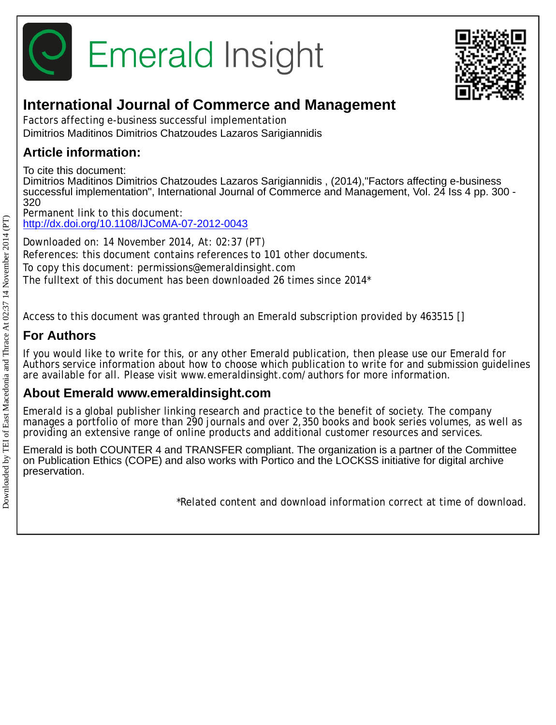



## **International Journal of Commerce and Management**

Factors affecting e-business successful implementation Dimitrios Maditinos Dimitrios Chatzoudes Lazaros Sarigiannidis

## **Article information:**

To cite this document:

Dimitrios Maditinos Dimitrios Chatzoudes Lazaros Sarigiannidis , (2014),"Factors affecting e-business successful implementation", International Journal of Commerce and Management, Vol. 24 Iss 4 pp. 300 - 320

Permanent link to this document: <http://dx.doi.org/10.1108/IJCoMA-07-2012-0043>

Downloaded on: 14 November 2014, At: 02:37 (PT) References: this document contains references to 101 other documents. To copy this document: permissions@emeraldinsight.com The fulltext of this document has been downloaded 26 times since 2014\*

Access to this document was granted through an Emerald subscription provided by 463515 []

## **For Authors**

If you would like to write for this, or any other Emerald publication, then please use our Emerald for Authors service information about how to choose which publication to write for and submission guidelines are available for all. Please visit www.emeraldinsight.com/authors for more information.

## **About Emerald www.emeraldinsight.com**

Emerald is a global publisher linking research and practice to the benefit of society. The company manages a portfolio of more than 290 journals and over 2,350 books and book series volumes, as well as providing an extensive range of online products and additional customer resources and services.

Emerald is both COUNTER 4 and TRANSFER compliant. The organization is a partner of the Committee on Publication Ethics (COPE) and also works with Portico and the LOCKSS initiative for digital archive preservation.

\*Related content and download information correct at time of download.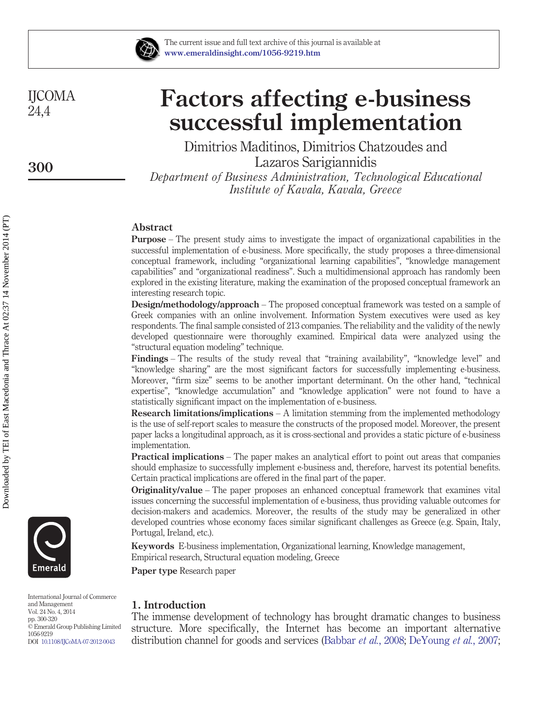

The current issue and full text archive of this journal is available at **www.emeraldinsight.com/1056-9219.htm**

IJCOMA 24,4

**300**

# **Factors affecting e-business successful implementation**

Dimitrios Maditinos, Dimitrios Chatzoudes and Lazaros Sarigiannidis

*Department of Business Administration, Technological Educational Institute of Kavala, Kavala, Greece*

#### **Abstract**

**Purpose** – The present study aims to investigate the impact of organizational capabilities in the successful implementation of e-business. More specifically, the study proposes a three-dimensional conceptual framework, including "organizational learning capabilities", "knowledge management capabilities" and "organizational readiness". Such a multidimensional approach has randomly been explored in the existing literature, making the examination of the proposed conceptual framework an interesting research topic.

**Design/methodology/approach** – The proposed conceptual framework was tested on a sample of Greek companies with an online involvement. Information System executives were used as key respondents. The final sample consisted of 213 companies. The reliability and the validity of the newly developed questionnaire were thoroughly examined. Empirical data were analyzed using the "structural equation modeling" technique.

**Findings** – The results of the study reveal that "training availability", "knowledge level" and "knowledge sharing" are the most significant factors for successfully implementing e-business. Moreover, "firm size" seems to be another important determinant. On the other hand, "technical expertise", "knowledge accumulation" and "knowledge application" were not found to have a statistically significant impact on the implementation of e-business.

**Research limitations/implications** – A limitation stemming from the implemented methodology is the use of self-report scales to measure the constructs of the proposed model. Moreover, the present paper lacks a longitudinal approach, as it is cross-sectional and provides a static picture of e-business implementation.

**Practical implications** – The paper makes an analytical effort to point out areas that companies should emphasize to successfully implement e-business and, therefore, harvest its potential benefits. Certain practical implications are offered in the final part of the paper.

**Originality/value** – The paper proposes an enhanced conceptual framework that examines vital issues concerning the successful implementation of e-business, thus providing valuable outcomes for decision-makers and academics. Moreover, the results of the study may be generalized in other developed countries whose economy faces similar significant challenges as Greece (e.g. Spain, Italy, Portugal, Ireland, etc.).

**Keywords** E-business implementation, Organizational learning, Knowledge management, Empirical research, Structural equation modeling, Greece

**Paper type** Research paper

#### International Journal of Commerce and Management Vol. 24 No. 4, 2014 pp. 300-320 © Emerald Group Publishing Limited 1056-9219 DOI 10.1108/IICoMA-07-2012-0043

#### **1. Introduction**

The immense development of technology has brought dramatic changes to business structure. More specifically, the Internet has become an important alternative distribution channel for goods and services [\(Babbar](#page-16-0) *et al.*, 2008; [DeYoung](#page-17-0) *et al.*, 2007;

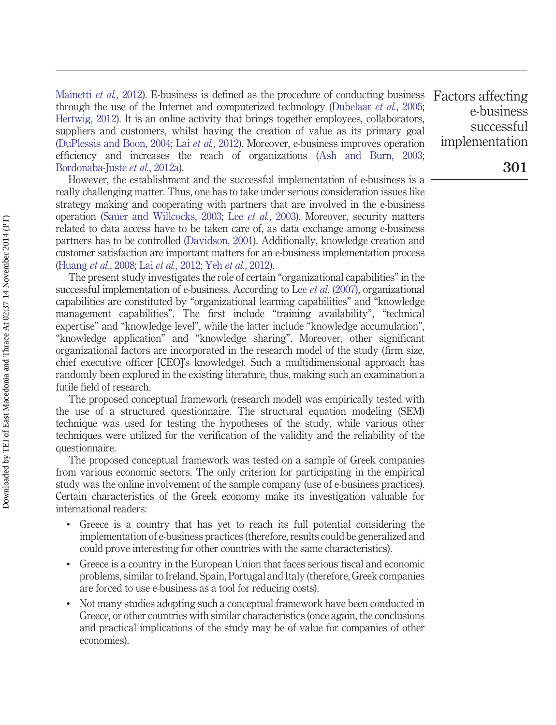[Mainetti](#page-19-0) *et al.*, 2012). E-business is defined as the procedure of conducting business through the use of the Internet and computerized technology [\(Dubelaar](#page-17-1) *et al.*, 2005; [Hertwig, 2012\)](#page-18-0). It is an online activity that brings together employees, collaborators, suppliers and customers, whilst having the creation of value as its primary goal [\(DuPlessis and Boon, 2004;](#page-17-2) Lai *et al.*[, 2012\)](#page-19-1). Moreover, e-business improves operation efficiency and increases the reach of organizations [\(Ash and Burn, 2003;](#page-16-1) [Bordonaba-Juste](#page-16-2) *et al.*, 2012a).

However, the establishment and the successful implementation of e-business is a really challenging matter. Thus, one has to take under serious consideration issues like strategy making and cooperating with partners that are involved in the e-business operation [\(Sauer and Willcocks, 2003;](#page-20-0) Lee *et al.*[, 2003\)](#page-19-2). Moreover, security matters related to data access have to be taken care of, as data exchange among e-business partners has to be controlled [\(Davidson, 2001\)](#page-17-3). Additionally, knowledge creation and customer satisfaction are important matters for an e-business implementation process [\(Huang](#page-18-1) *et al.*, 2008; Lai *et al.*[, 2012;](#page-19-1) Yeh *et al.*[, 2012\)](#page-21-0).

The present study investigates the role of certain "organizational capabilities" in the successful implementation of e-business. According to Lee *et al*[. \(2007\),](#page-19-3) organizational capabilities are constituted by "organizational learning capabilities" and "knowledge management capabilities". The first include "training availability", "technical expertise" and "knowledge level", while the latter include "knowledge accumulation", "knowledge application" and "knowledge sharing". Moreover, other significant organizational factors are incorporated in the research model of the study (firm size, chief executive officer [CEO]'s knowledge). Such a multidimensional approach has randomly been explored in the existing literature, thus, making such an examination a futile field of research.

The proposed conceptual framework (research model) was empirically tested with the use of a structured questionnaire. The structural equation modeling (SEM) technique was used for testing the hypotheses of the study, while various other techniques were utilized for the verification of the validity and the reliability of the questionnaire.

The proposed conceptual framework was tested on a sample of Greek companies from various economic sectors. The only criterion for participating in the empirical study was the online involvement of the sample company (use of e-business practices). Certain characteristics of the Greek economy make its investigation valuable for international readers:

- Greece is a country that has yet to reach its full potential considering the implementation of e-business practices (therefore, results could be generalized and could prove interesting for other countries with the same characteristics).
- Greece is a country in the European Union that faces serious fiscal and economic problems, similar to Ireland, Spain, Portugal and Italy (therefore, Greek companies are forced to use e-business as a tool for reducing costs).
- Not many studies adopting such a conceptual framework have been conducted in Greece, or other countries with similar characteristics (once again, the conclusions and practical implications of the study may be of value for companies of other economies).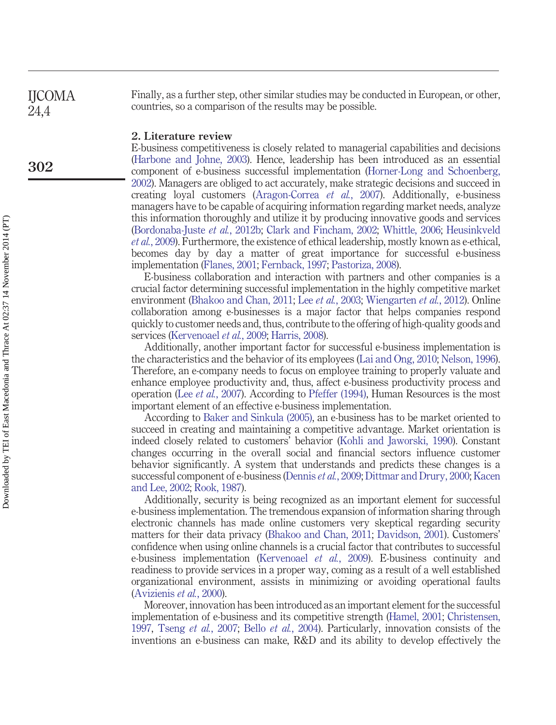Finally, as a further step, other similar studies may be conducted in European, or other, countries, so a comparison of the results may be possible. IJCOMA

#### **2. Literature review**

E-business competitiveness is closely related to managerial capabilities and decisions [\(Harbone and Johne, 2003\)](#page-18-2). Hence, leadership has been introduced as an essential component of e-business successful implementation [\(Horner-Long and Schoenberg,](#page-18-3) [2002\)](#page-18-3). Managers are obliged to act accurately, make strategic decisions and succeed in creating loyal customers [\(Aragon-Correa](#page-16-3) *et al.*, 2007). Additionally, e-business managers have to be capable of acquiring information regarding market needs, analyze this information thoroughly and utilize it by producing innovative goods and services [\(Bordonaba-Juste](#page-16-4) *et al.*, 2012b; [Clark and Fincham, 2002;](#page-17-4) [Whittle, 2006;](#page-20-1) [Heusinkveld](#page-18-4) *et al.*[, 2009\)](#page-18-4). Furthermore, the existence of ethical leadership, mostly known as e-ethical, becomes day by day a matter of great importance for successful e-business implementation [\(Flanes, 2001;](#page-17-5) [Fernback, 1997;](#page-17-6) [Pastoriza, 2008\)](#page-20-2).

E-business collaboration and interaction with partners and other companies is a crucial factor determining successful implementation in the highly competitive market environment [\(Bhakoo and Chan, 2011;](#page-16-5) Lee *et al.*[, 2003;](#page-19-2) [Wiengarten](#page-20-3) *et al.*, 2012). Online collaboration among e-businesses is a major factor that helps companies respond quickly to customer needs and, thus, contribute to the offering of high-quality goods and services [\(Kervenoael](#page-19-4) *et al.*, 2009; [Harris, 2008\)](#page-18-5).

Additionally, another important factor for successful e-business implementation is the characteristics and the behavior of its employees [\(Lai and Ong, 2010;](#page-19-5) [Nelson, 1996\)](#page-20-4). Therefore, an e-company needs to focus on employee training to properly valuate and enhance employee productivity and, thus, affect e-business productivity process and operation (Lee *et al.*[, 2007\)](#page-19-3). According to [Pfeffer \(1994\),](#page-20-5) Human Resources is the most important element of an effective e-business implementation.

According to [Baker and Sinkula \(2005\),](#page-16-6) an e-business has to be market oriented to succeed in creating and maintaining a competitive advantage. Market orientation is indeed closely related to customers' behavior [\(Kohli and Jaworski, 1990\)](#page-19-6). Constant changes occurring in the overall social and financial sectors influence customer behavior significantly. A system that understands and predicts these changes is a successful component of e-business [\(Dennis](#page-17-7) *et al.*, 2009; [Dittmar and Drury, 2000;](#page-17-8) [Kacen](#page-18-6) [and Lee, 2002;](#page-18-6) [Rook, 1987\)](#page-20-6).

Additionally, security is being recognized as an important element for successful e-business implementation. The tremendous expansion of information sharing through electronic channels has made online customers very skeptical regarding security matters for their data privacy [\(Bhakoo and Chan, 2011;](#page-16-5) [Davidson, 2001\)](#page-17-3). Customers' confidence when using online channels is a crucial factor that contributes to successful e-business implementation [\(Kervenoael](#page-19-4) *et al.*, 2009). E-business continuity and readiness to provide services in a proper way, coming as a result of a well established organizational environment, assists in minimizing or avoiding operational faults [\(Avizienis](#page-16-7) *et al.*, 2000).

Moreover, innovation has been introduced as an important element for the successful implementation of e-business and its competitive strength [\(Hamel, 2001;](#page-18-7) [Christensen,](#page-17-9) [1997,](#page-17-9) Tseng *et al.*[, 2007;](#page-20-7) Bello *et al.*[, 2004\)](#page-16-8). Particularly, innovation consists of the inventions an e-business can make, R&D and its ability to develop effectively the

24,4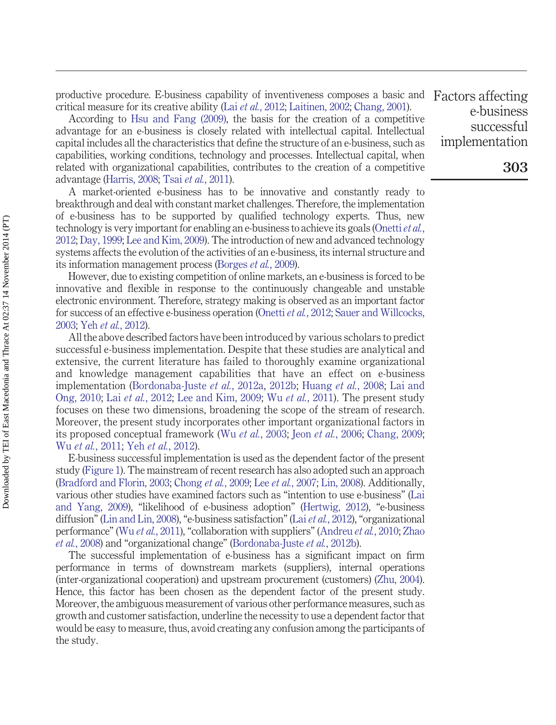productive procedure. E-business capability of inventiveness composes a basic and critical measure for its creative ability (Lai *et al.*[, 2012;](#page-19-1) [Laitinen, 2002;](#page-19-7) [Chang, 2001\)](#page-17-10).

According to [Hsu and Fang \(2009\),](#page-18-8) the basis for the creation of a competitive advantage for an e-business is closely related with intellectual capital. Intellectual capital includes all the characteristics that define the structure of an e-business, such as capabilities, working conditions, technology and processes. Intellectual capital, when related with organizational capabilities, contributes to the creation of a competitive advantage [\(Harris, 2008;](#page-18-5) Tsai *et al.*[, 2011\)](#page-20-8).

A market-oriented e-business has to be innovative and constantly ready to breakthrough and deal with constant market challenges. Therefore, the implementation of e-business has to be supported by qualified technology experts. Thus, new technology is very important for enabling an e-business to achieve its goals [\(Onetti](#page-20-9) *et al.*, [2012;](#page-20-9) [Day, 1999;](#page-17-11) [Lee and Kim, 2009\)](#page-19-8). The introduction of new and advanced technology systems affects the evolution of the activities of an e-business, its internal structure and its information management process [\(Borges](#page-16-9) *et al.*, 2009).

However, due to existing competition of online markets, an e-business is forced to be innovative and flexible in response to the continuously changeable and unstable electronic environment. Therefore, strategy making is observed as an important factor for success of an effective e-business operation [\(Onetti](#page-20-9) *et al.*, 2012; [Sauer and Willcocks,](#page-20-0) [2003;](#page-20-0) Yeh *et al.*[, 2012\)](#page-21-0).

All the above described factors have been introduced by various scholars to predict successful e-business implementation. Despite that these studies are analytical and extensive, the current literature has failed to thoroughly examine organizational and knowledge management capabilities that have an effect on e-business implementation [\(Bordonaba-Juste](#page-16-2) *et al.*, 2012a, [2012b;](#page-16-4) [Huang](#page-18-1) *et al.*, 2008; [Lai and](#page-19-5) [Ong, 2010;](#page-19-5) Lai *et al.*[, 2012;](#page-19-1) [Lee and Kim, 2009;](#page-19-8) Wu *et al.*[, 2011\)](#page-21-1). The present study focuses on these two dimensions, broadening the scope of the stream of research. Moreover, the present study incorporates other important organizational factors in its proposed conceptual framework (Wu *et al.*[, 2003;](#page-21-2) Jeon *et al.*[, 2006;](#page-18-9) [Chang, 2009;](#page-17-12) Wu *et al.*[, 2011;](#page-21-1) Yeh *et al.*[, 2012\)](#page-21-0).

E-business successful implementation is used as the dependent factor of the present study [\(Figure 1\)](#page-5-0). The mainstream of recent research has also adopted such an approach [\(Bradford and Florin, 2003;](#page-16-10) [Chong](#page-17-13) *et al.*, 2009; Lee *et al.*[, 2007;](#page-19-3) [Lin, 2008\)](#page-19-9). Additionally, various other studies have examined factors such as "intention to use e-business" [\(Lai](#page-19-10) [and Yang, 2009\)](#page-19-10), "likelihood of e-business adoption" [\(Hertwig, 2012\)](#page-18-0), "e-business diffusion" [\(Lin and Lin, 2008\)](#page-19-11), "e-business satisfaction" (Lai *et al.*[, 2012\)](#page-19-1), "organizational performance" (Wu *et al.*[, 2011\)](#page-21-1), "collaboration with suppliers" [\(Andreu](#page-16-11) *et al.*, 2010; [Zhao](#page-21-3) *et al.*[, 2008\)](#page-21-3) and "organizational change" [\(Bordonaba-Juste](#page-16-4) *et al.*, 2012b).

The successful implementation of e-business has a significant impact on firm performance in terms of downstream markets (suppliers), internal operations (inter-organizational cooperation) and upstream procurement (customers) [\(Zhu, 2004\)](#page-21-4). Hence, this factor has been chosen as the dependent factor of the present study. Moreover, the ambiguous measurement of various other performance measures, such as growth and customer satisfaction, underline the necessity to use a dependent factor that would be easy to measure, thus, avoid creating any confusion among the participants of the study.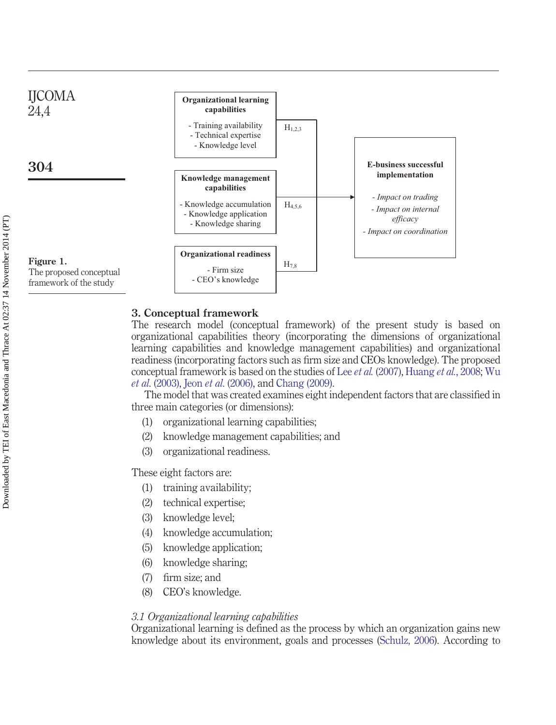

#### <span id="page-5-0"></span>**3. Conceptual framework**

The research model (conceptual framework) of the present study is based on organizational capabilities theory (incorporating the dimensions of organizational learning capabilities and knowledge management capabilities) and organizational readiness (incorporating factors such as firm size and CEOs knowledge). The proposed conceptual framework is based on the studies of Lee *et al.* [\(2007\),](#page-19-3) [Huang](#page-18-1) *et al.*, 2008; [Wu](#page-21-2) *et al*[. \(2003\),](#page-21-2) Jeon *et al*[. \(2006\),](#page-18-9) and [Chang \(2009\).](#page-17-12)

The model that was created examines eight independent factors that are classified in three main categories (or dimensions):

- (1) organizational learning capabilities;
- (2) knowledge management capabilities; and
- (3) organizational readiness.

These eight factors are:

- (1) training availability;
- (2) technical expertise;
- (3) knowledge level;
- (4) knowledge accumulation;
- (5) knowledge application;
- (6) knowledge sharing;
- (7) firm size; and
- (8) CEO's knowledge.

#### *3.1 Organizational learning capabilities*

Organizational learning is defined as the process by which an organization gains new knowledge about its environment, goals and processes [\(Schulz, 2006\)](#page-20-10). According to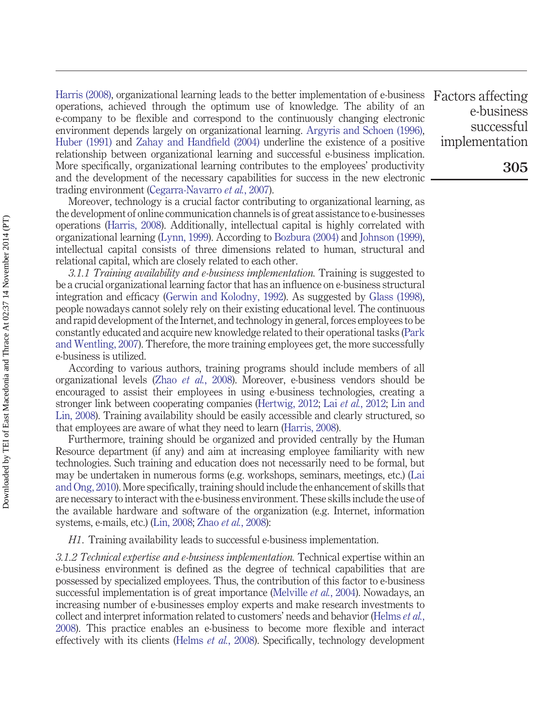[Harris \(2008\),](#page-18-5) organizational learning leads to the better implementation of e-business operations, achieved through the optimum use of knowledge. The ability of an e-company to be flexible and correspond to the continuously changing electronic environment depends largely on organizational learning. [Argyris and Schoen \(1996\),](#page-16-12) [Huber \(1991\)](#page-18-10) and [Zahay and Handfield \(2004\)](#page-21-5) underline the existence of a positive relationship between organizational learning and successful e-business implication. More specifically, organizational learning contributes to the employees' productivity and the development of the necessary capabilities for success in the new electronic trading environment [\(Cegarra-Navarro](#page-16-13) *et al.*, 2007).

Moreover, technology is a crucial factor contributing to organizational learning, as the development of online communication channels is of great assistance to e-businesses operations [\(Harris, 2008\)](#page-18-5). Additionally, intellectual capital is highly correlated with organizational learning [\(Lynn, 1999\)](#page-19-12). According to [Bozbura \(2004\)](#page-16-14) and [Johnson \(1999\),](#page-18-11) intellectual capital consists of three dimensions related to human, structural and relational capital, which are closely related to each other.

*3.1.1 Training availability and e-business implementation.* Training is suggested to be a crucial organizational learning factor that has an influence on e-business structural integration and efficacy [\(Gerwin and Kolodny, 1992\)](#page-17-14). As suggested by [Glass \(1998\),](#page-17-15) people nowadays cannot solely rely on their existing educational level. The continuous and rapid development of the Internet, and technology in general, forces employees to be constantly educated and acquire new knowledge related to their operational tasks [\(Park](#page-20-11) [and Wentling, 2007\)](#page-20-11). Therefore, the more training employees get, the more successfully e-business is utilized.

According to various authors, training programs should include members of all organizational levels (Zhao *et al.*[, 2008\)](#page-21-3). Moreover, e-business vendors should be encouraged to assist their employees in using e-business technologies, creating a stronger link between cooperating companies [\(Hertwig, 2012;](#page-18-0) Lai *et al.*[, 2012;](#page-19-1) [Lin and](#page-19-11) [Lin, 2008\)](#page-19-11). Training availability should be easily accessible and clearly structured, so that employees are aware of what they need to learn [\(Harris, 2008\)](#page-18-5).

Furthermore, training should be organized and provided centrally by the Human Resource department (if any) and aim at increasing employee familiarity with new technologies. Such training and education does not necessarily need to be formal, but may be undertaken in numerous forms (e.g. workshops, seminars, meetings, etc.) [\(Lai](#page-19-5) [and Ong, 2010\)](#page-19-5). More specifically, training should include the enhancement of skills that are necessary to interact with the e-business environment. These skills include the use of the available hardware and software of the organization (e.g. Internet, information systems, e-mails, etc.) [\(Lin, 2008;](#page-19-9) Zhao *et al.*[, 2008\)](#page-21-3):

*H1*. Training availability leads to successful e-business implementation.

*3.1.2 Technical expertise and e-business implementation.* Technical expertise within an e-business environment is defined as the degree of technical capabilities that are possessed by specialized employees. Thus, the contribution of this factor to e-business successful implementation is of great importance [\(Melville](#page-19-13) *et al.*, 2004). Nowadays, an increasing number of e-businesses employ experts and make research investments to collect and interpret information related to customers' needs and behavior [\(Helms](#page-18-12) *et al.*, [2008\)](#page-18-12). This practice enables an e-business to become more flexible and interact effectively with its clients [\(Helms](#page-18-12) *et al.*, 2008). Specifically, technology development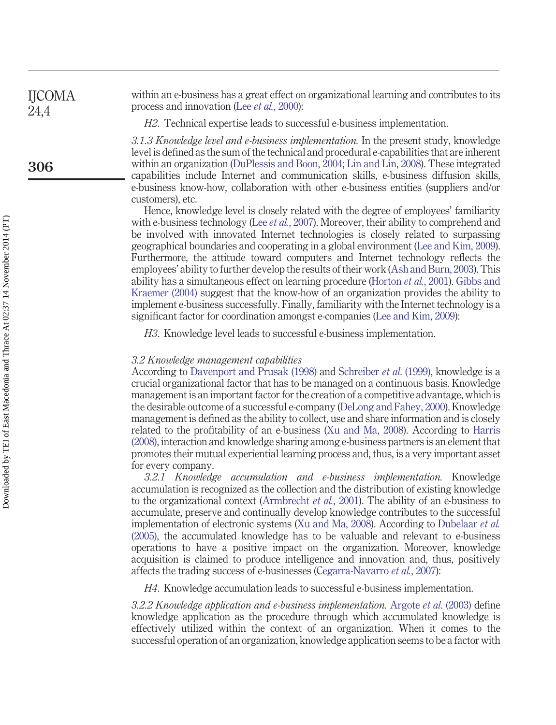| <b>IJCOMA</b> | within an e-business has a great effect on organizational learning and contributes to its |
|---------------|-------------------------------------------------------------------------------------------|
| 24,4          | process and innovation (Lee <i>et al.</i> , 2000):                                        |
|               |                                                                                           |

*H2*. Technical expertise leads to successful e-business implementation.

*3.1.3 Knowledge level and e-business implementation.* In the present study, knowledge level is defined as the sum of the technical and procedural e-capabilities that are inherent within an organization [\(DuPlessis and Boon, 2004;](#page-17-2) [Lin and Lin, 2008\)](#page-19-11). These integrated capabilities include Internet and communication skills, e-business diffusion skills, e-business know-how, collaboration with other e-business entities (suppliers and/or customers), etc.

Hence, knowledge level is closely related with the degree of employees' familiarity with e-business technology (Lee *et al.*[, 2007\)](#page-19-3). Moreover, their ability to comprehend and be involved with innovated Internet technologies is closely related to surpassing geographical boundaries and cooperating in a global environment [\(Lee and Kim, 2009\)](#page-19-8). Furthermore, the attitude toward computers and Internet technology reflects the employees' ability to further develop the results of their work [\(Ash and Burn, 2003\)](#page-16-1). This ability has a simultaneous effect on learning procedure [\(Horton](#page-18-13) *et al.*, 2001). [Gibbs and](#page-17-16) [Kraemer \(2004\)](#page-17-16) suggest that the know-how of an organization provides the ability to implement e-business successfully. Finally, familiarity with the Internet technology is a significant factor for coordination amongst e-companies [\(Lee and Kim, 2009\)](#page-19-8):

*H3*. Knowledge level leads to successful e-business implementation.

#### *3.2 Knowledge management capabilities*

According to [Davenport and Prusak \(1998\)](#page-17-17) and [Schreiber](#page-20-12) *et al*. (1999), knowledge is a crucial organizational factor that has to be managed on a continuous basis. Knowledge management is an important factor for the creation of a competitive advantage, which is the desirable outcome of a successful e-company [\(DeLong and Fahey, 2000\)](#page-17-18). Knowledge management is defined as the ability to collect, use and share information and is closely related to the profitability of an e-business [\(Xu and Ma, 2008\)](#page-21-6). According to [Harris](#page-18-5) [\(2008\),](#page-18-5) interaction and knowledge sharing among e-business partners is an element that promotes their mutual experiential learning process and, thus, is a very important asset for every company.

*3.2.1 Knowledge accumulation and e-business implementation.* Knowledge accumulation is recognized as the collection and the distribution of existing knowledge to the organizational context [\(Armbrecht](#page-16-15) *et al.*, 2001). The ability of an e-business to accumulate, preserve and continually develop knowledge contributes to the successful implementation of electronic systems [\(Xu and Ma, 2008\)](#page-21-6). According to [Dubelaar](#page-17-1) *et al.* [\(2005\),](#page-17-1) the accumulated knowledge has to be valuable and relevant to e-business operations to have a positive impact on the organization. Moreover, knowledge acquisition is claimed to produce intelligence and innovation and, thus, positively affects the trading success of e-businesses [\(Cegarra-Navarro](#page-16-13) *et al.*, 2007):

*H4*. Knowledge accumulation leads to successful e-business implementation.

*3.2.2 Knowledge application and e-business implementation.* Argote *et al*[. \(2003\)](#page-16-16) define knowledge application as the procedure through which accumulated knowledge is effectively utilized within the context of an organization. When it comes to the successful operation of an organization, knowledge application seems to be a factor with

**306**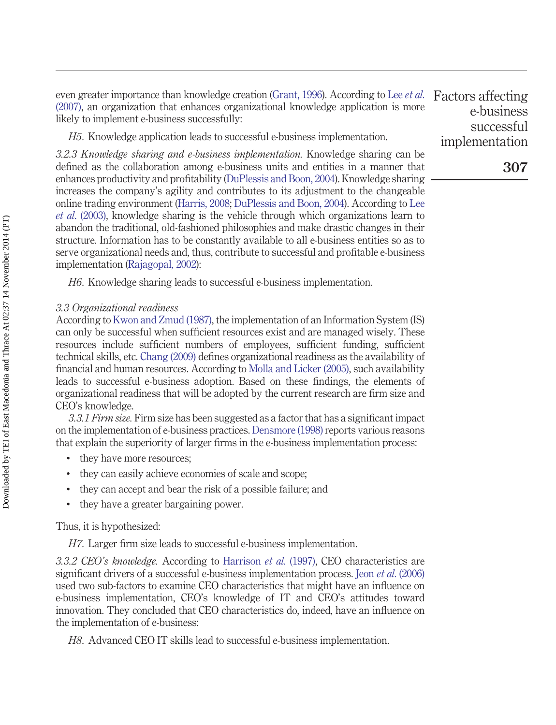even greater importance than knowledge creation [\(Grant, 1996\)](#page-17-19). According to Lee *[et al](#page-19-3)*. [\(2007\),](#page-19-3) an organization that enhances organizational knowledge application is more likely to implement e-business successfully:

*H5*. Knowledge application leads to successful e-business implementation.

*3.2.3 Knowledge sharing and e-business implementation.* Knowledge sharing can be defined as the collaboration among e-business units and entities in a manner that enhances productivity and profitability [\(DuPlessis and Boon, 2004\)](#page-17-2). Knowledge sharing increases the company's agility and contributes to its adjustment to the changeable online trading environment [\(Harris, 2008;](#page-18-5) [DuPlessis and Boon, 2004\)](#page-17-2). According to [Lee](#page-19-2) *et al*[. \(2003\),](#page-19-2) knowledge sharing is the vehicle through which organizations learn to abandon the traditional, old-fashioned philosophies and make drastic changes in their structure. Information has to be constantly available to all e-business entities so as to serve organizational needs and, thus, contribute to successful and profitable e-business implementation [\(Rajagopal, 2002\)](#page-20-13):

*H6*. Knowledge sharing leads to successful e-business implementation.

#### *3.3 Organizational readiness*

According to [Kwon and Zmud \(1987\),](#page-19-15) the implementation of an Information System (IS) can only be successful when sufficient resources exist and are managed wisely. These resources include sufficient numbers of employees, sufficient funding, sufficient technical skills, etc. [Chang \(2009\)](#page-17-12) defines organizational readiness as the availability of financial and human resources. According to [Molla and Licker \(2005\),](#page-20-14) such availability leads to successful e-business adoption. Based on these findings, the elements of organizational readiness that will be adopted by the current research are firm size and CEO's knowledge.

*3.3.1 Firm size.* Firm size has been suggested as a factor that has a significant impact on the implementation of e-business practices. [Densmore \(1998\)](#page-17-20) reports various reasons that explain the superiority of larger firms in the e-business implementation process:

- they have more resources;
- they can easily achieve economies of scale and scope;
- they can accept and bear the risk of a possible failure; and
- they have a greater bargaining power.

Thus, it is hypothesized:

*H7*. Larger firm size leads to successful e-business implementation.

*3.3.2 CEO's knowledge.* According to [Harrison](#page-18-14) *et al*. (1997), CEO characteristics are significant drivers of a successful e-business implementation process. Jeon *et al*[. \(2006\)](#page-18-9) used two sub-factors to examine CEO characteristics that might have an influence on e-business implementation, CEO's knowledge of IT and CEO's attitudes toward innovation. They concluded that CEO characteristics do, indeed, have an influence on the implementation of e-business:

*H8*. Advanced CEO IT skills lead to successful e-business implementation.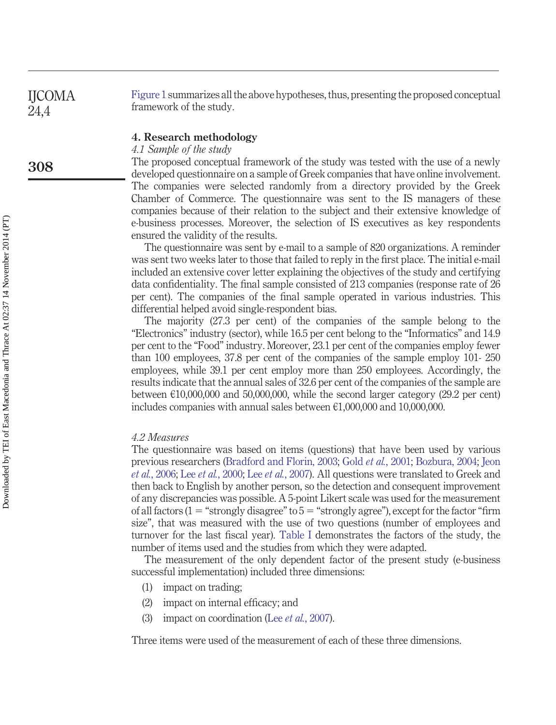[Figure 1](#page-5-0) summarizes all the above hypotheses, thus, presenting the proposed conceptual framework of the study. IJCOMA 24,4

#### **4. Research methodology**

*4.1 Sample of the study*

The proposed conceptual framework of the study was tested with the use of a newly developed questionnaire on a sample of Greek companies that have online involvement. The companies were selected randomly from a directory provided by the Greek Chamber of Commerce. The questionnaire was sent to the IS managers of these companies because of their relation to the subject and their extensive knowledge of e-business processes. Moreover, the selection of IS executives as key respondents ensured the validity of the results.

The questionnaire was sent by e-mail to a sample of 820 organizations. A reminder was sent two weeks later to those that failed to reply in the first place. The initial e-mail included an extensive cover letter explaining the objectives of the study and certifying data confidentiality. The final sample consisted of 213 companies (response rate of 26 per cent). The companies of the final sample operated in various industries. This differential helped avoid single-respondent bias.

The majority (27.3 per cent) of the companies of the sample belong to the "Electronics" industry (sector), while 16.5 per cent belong to the "Informatics" and 14.9 per cent to the "Food" industry. Moreover, 23.1 per cent of the companies employ fewer than 100 employees, 37.8 per cent of the companies of the sample employ 101- 250 employees, while 39.1 per cent employ more than 250 employees. Accordingly, the results indicate that the annual sales of 32.6 per cent of the companies of the sample are between €10,000,000 and 50,000,000, while the second larger category (29.2 per cent) includes companies with annual sales between  $\epsilon$ 1,000,000 and 10,000,000.

#### *4.2 Measures*

The questionnaire was based on items (questions) that have been used by various previous researchers [\(Bradford and Florin, 2003;](#page-16-10) Gold *et al.*[, 2001;](#page-17-21) [Bozbura, 2004;](#page-16-14) [Jeon](#page-18-9) *et al.*[, 2006;](#page-18-9) Lee *et al.*[, 2000;](#page-19-14) Lee *et al.*[, 2007\)](#page-19-3). All questions were translated to Greek and then back to English by another person, so the detection and consequent improvement of any discrepancies was possible. A 5-point Likert scale was used for the measurement of all factors ( $1 =$  "strongly disagree" to  $5 =$  "strongly agree"), except for the factor "firm size", that was measured with the use of two questions (number of employees and turnover for the last fiscal year). [Table I](#page-10-0) demonstrates the factors of the study, the number of items used and the studies from which they were adapted.

The measurement of the only dependent factor of the present study (e-business successful implementation) included three dimensions:

- (1) impact on trading;
- (2) impact on internal efficacy; and
- (3) impact on coordination (Lee *et al.*[, 2007\)](#page-19-3).

Three items were used of the measurement of each of these three dimensions.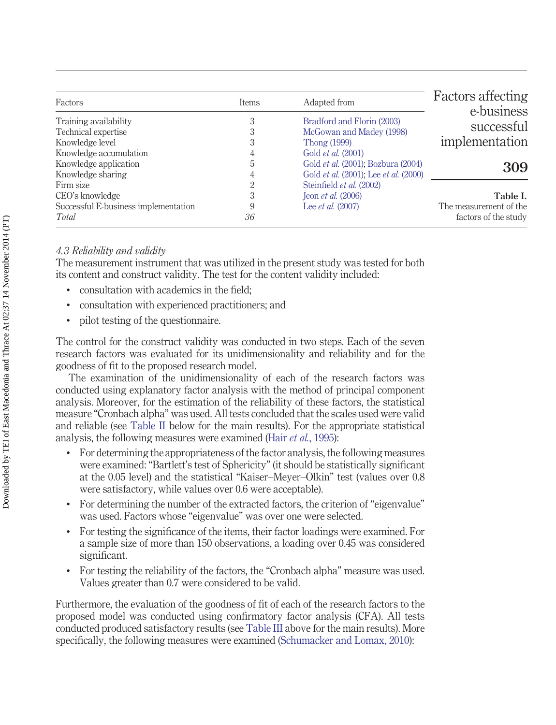<span id="page-10-0"></span>

| Factors                              | Items | Adapted from                          | Factors affecting<br>e-business |
|--------------------------------------|-------|---------------------------------------|---------------------------------|
| Training availability                | 3     | Bradford and Florin (2003)            |                                 |
| Technical expertise                  | 3     | McGowan and Madey (1998)              | successful                      |
| Knowledge level                      | 3     | Thong (1999)                          | implementation                  |
| Knowledge accumulation               | 4     | Gold <i>et al.</i> (2001)             |                                 |
| Knowledge application                | 5     | Gold et al. (2001); Bozbura (2004)    | 309                             |
| Knowledge sharing                    | 4     | Gold et al. (2001); Lee et al. (2000) |                                 |
| Firm size                            | 2     | Steinfield et al. (2002)              |                                 |
| CEO's knowledge                      | 3     | Jeon <i>et al.</i> $(2006)$           | Table I.                        |
| Successful E-business implementation | 9     | Lee <i>et al.</i> (2007)              | The measurement of the          |
| Total                                | 36    |                                       | factors of the study            |

### *4.3 Reliability and validity*

The measurement instrument that was utilized in the present study was tested for both its content and construct validity. The test for the content validity included:

- consultation with academics in the field;
- consultation with experienced practitioners; and
- pilot testing of the questionnaire.

The control for the construct validity was conducted in two steps. Each of the seven research factors was evaluated for its unidimensionality and reliability and for the goodness of fit to the proposed research model.

The examination of the unidimensionality of each of the research factors was conducted using explanatory factor analysis with the method of principal component analysis. Moreover, for the estimation of the reliability of these factors, the statistical measure "Cronbach alpha" was used. All tests concluded that the scales used were valid and reliable (see [Table II](#page-11-0) below for the main results). For the appropriate statistical analysis, the following measures were examined (Hair *et al.*[, 1995\)](#page-18-15):

- For determining the appropriateness of the factor analysis, the following measures were examined: "Bartlett's test of Sphericity" (it should be statistically significant at the 0.05 level) and the statistical "Kaiser–Meyer–Olkin" test (values over 0.8 were satisfactory, while values over 0.6 were acceptable).
- For determining the number of the extracted factors, the criterion of "eigenvalue" was used. Factors whose "eigenvalue" was over one were selected.
- For testing the significance of the items, their factor loadings were examined. For a sample size of more than 150 observations, a loading over 0.45 was considered significant.
- For testing the reliability of the factors, the "Cronbach alpha" measure was used. Values greater than 0.7 were considered to be valid.

Furthermore, the evaluation of the goodness of fit of each of the research factors to the proposed model was conducted using confirmatory factor analysis (CFA). All tests conducted produced satisfactory results (see [Table III](#page-11-1) above for the main results). More specifically, the following measures were examined [\(Schumacker and Lomax, 2010\)](#page-20-15):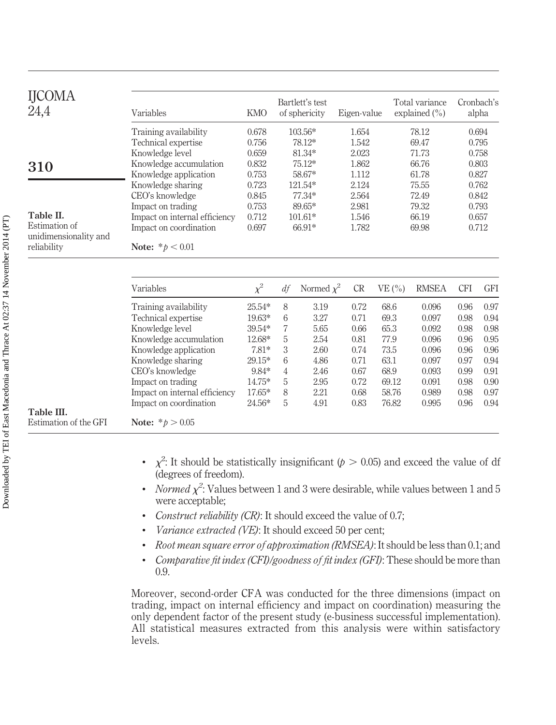<span id="page-11-0"></span>

| <b>IJCOMA</b><br>24,4                                                     | Variables                                                                                                                                                                                                                                                              | <b>KMO</b>                                                                                         |                                                | Bartlett's test<br>of sphericity                                                                        | Eigen-value                                                                            |                                                                                 | Total variance<br>explained $(\% )$                                                    |                                                                              | Cronbach's<br>alpha                                                                    |
|---------------------------------------------------------------------------|------------------------------------------------------------------------------------------------------------------------------------------------------------------------------------------------------------------------------------------------------------------------|----------------------------------------------------------------------------------------------------|------------------------------------------------|---------------------------------------------------------------------------------------------------------|----------------------------------------------------------------------------------------|---------------------------------------------------------------------------------|----------------------------------------------------------------------------------------|------------------------------------------------------------------------------|----------------------------------------------------------------------------------------|
| 310<br>Table II.<br>Estimation of<br>unidimensionality and<br>reliability | Training availability<br>Technical expertise<br>Knowledge level<br>Knowledge accumulation<br>Knowledge application<br>Knowledge sharing<br>CEO's knowledge<br>Impact on trading<br>Impact on internal efficiency<br>Impact on coordination<br><b>Note:</b> $*b < 0.01$ | 0.678<br>0.756<br>0.659<br>0.832<br>0.753<br>0.723<br>0.845<br>0.753<br>0.712<br>0.697             |                                                | 103.56*<br>78.12*<br>81.34*<br>$75.12*$<br>58.67*<br>121.54*<br>77.34*<br>89.65*<br>$101.61*$<br>66.91* | 1.654<br>1.542<br>2.023<br>1.862<br>1.112<br>2.124<br>2.564<br>2.981<br>1.546<br>1.782 |                                                                                 | 78.12<br>69.47<br>71.73<br>66.76<br>61.78<br>75.55<br>72.49<br>79.32<br>66.19<br>69.98 |                                                                              | 0.694<br>0.795<br>0.758<br>0.803<br>0.827<br>0.762<br>0.842<br>0.793<br>0.657<br>0.712 |
|                                                                           | Variables                                                                                                                                                                                                                                                              | $\chi^2$                                                                                           | df                                             | Normed $\chi^2$                                                                                         | <b>CR</b>                                                                              | VE(%)                                                                           | <b>RMSEA</b>                                                                           | <b>CFI</b>                                                                   | <b>GFI</b>                                                                             |
| Table III.<br>Estimation of the GFI                                       | Training availability<br>Technical expertise<br>Knowledge level<br>Knowledge accumulation<br>Knowledge application<br>Knowledge sharing<br>CEO's knowledge<br>Impact on trading<br>Impact on internal efficiency<br>Impact on coordination<br><b>Note:</b> $*b > 0.05$ | $25.54*$<br>19.63*<br>39.54*<br>12.68*<br>$7.81*$<br>29.15*<br>9.84*<br>14.75*<br>17.65*<br>24.56* | 8<br>6<br>7<br>5<br>3<br>6<br>4<br>5<br>8<br>5 | 3.19<br>3.27<br>5.65<br>2.54<br>2.60<br>4.86<br>2.46<br>2.95<br>2.21<br>4.91                            | 0.72<br>0.71<br>0.66<br>0.81<br>0.74<br>0.71<br>0.67<br>0.72<br>0.68<br>0.83           | 68.6<br>69.3<br>65.3<br>77.9<br>73.5<br>63.1<br>68.9<br>69.12<br>58.76<br>76.82 | 0.096<br>0.097<br>0.092<br>0.096<br>0.096<br>0.097<br>0.093<br>0.091<br>0.989<br>0.995 | 0.96<br>0.98<br>0.98<br>0.96<br>0.96<br>0.97<br>0.99<br>0.98<br>0.98<br>0.96 | 0.97<br>0.94<br>0.98<br>0.95<br>0.96<br>0.94<br>0.91<br>0.90<br>0.97<br>0.94           |

- <span id="page-11-1"></span>•  $\chi^2$ : It should be statistically insignificant ( $p > 0.05$ ) and exceed the value of df (degrees of freedom).
- *Normed*  $\chi^2$ : Values between 1 and 3 were desirable, while values between 1 and 5 were acceptable;
- *Construct reliability (CR)*: It should exceed the value of 0.7;
- *Variance extracted (VE)*: It should exceed 50 per cent;
- *Root mean square error of approximation (RMSEA)*: It should be less than 0.1; and
- *Comparative fit index (CFI)/goodness of fit index (GFI)*: These should be more than 0.9.

Moreover, second-order CFA was conducted for the three dimensions (impact on trading, impact on internal efficiency and impact on coordination) measuring the only dependent factor of the present study (e-business successful implementation). All statistical measures extracted from this analysis were within satisfactory levels.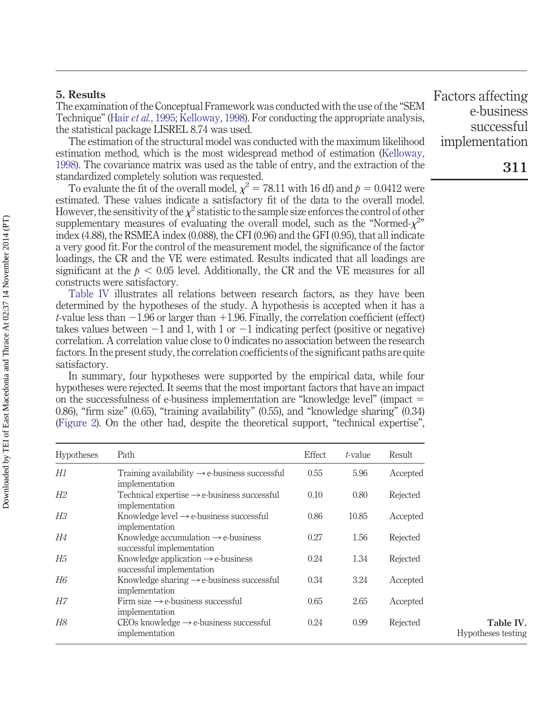#### **5. Results**

The examination of the Conceptual Framework was conducted with the use of the "SEM Technique" (Hair *et al.*[, 1995;](#page-18-15) [Kelloway, 1998\)](#page-18-16). For conducting the appropriate analysis, the statistical package LISREL 8.74 was used.

The estimation of the structural model was conducted with the maximum likelihood estimation method, which is the most widespread method of estimation [\(Kelloway,](#page-18-16) [1998\)](#page-18-16). The covariance matrix was used as the table of entry, and the extraction of the standardized completely solution was requested.

To evaluate the fit of the overall model,  $\chi^2 = 78.11$  with 16 df) and  $p = 0.0412$  were estimated. These values indicate a satisfactory fit of the data to the overall model. However, the sensitivity of the  $\chi^2$  statistic to the sample size enforces the control of other supplementary measures of evaluating the overall model, such as the "Normed- $\chi^{2n}$ " index (4.88), the RSMEA index (0.088), the CFI (0.96) and the GFI (0.95), that all indicate a very good fit. For the control of the measurement model, the significance of the factor loadings, the CR and the VE were estimated. Results indicated that all loadings are significant at the  $p < 0.05$  level. Additionally, the CR and the VE measures for all constructs were satisfactory.

[Table IV](#page-12-0) illustrates all relations between research factors, as they have been determined by the hypotheses of the study. A hypothesis is accepted when it has a *t*-value less than  $-1.96$  or larger than  $+1.96$ . Finally, the correlation coefficient (effect) takes values between  $-1$  and 1, with 1 or  $-1$  indicating perfect (positive or negative) correlation. A correlation value close to 0 indicates no association between the research factors. In the present study, the correlation coefficients of the significant paths are quite satisfactory.

In summary, four hypotheses were supported by the empirical data, while four hypotheses were rejected. It seems that the most important factors that have an impact on the successfulness of e-business implementation are "knowledge level" (impact = 0.86), "firm size" (0.65), "training availability" (0.55), and "knowledge sharing" (0.34) [\(Figure 2\)](#page-13-0). On the other had, despite the theoretical support, "technical expertise",

<span id="page-12-0"></span>

| <b>Hypotheses</b> | Path                                                                         | Effect | t-value | Result   |
|-------------------|------------------------------------------------------------------------------|--------|---------|----------|
| H1                | Training availability $\rightarrow$ e-business successful<br>implementation  | 0.55   | 5.96    | Accepted |
| H2                | Technical expertise $\rightarrow$ e-business successful<br>implementation    | 0.10   | 0.80    | Rejected |
| Н3                | Knowledge level $\rightarrow$ e-business successful<br>implementation        | 0.86   | 10.85   | Accepted |
| H4                | Knowledge accumulation $\rightarrow$ e-business<br>successful implementation | 0.27   | 1.56    | Rejected |
| H5                | Knowledge application $\rightarrow$ e-business<br>successful implementation  | 0.24   | 1.34    | Rejected |
| H6                | Knowledge sharing $\rightarrow$ e-business successful<br>implementation      | 0.34   | 3.24    | Accepted |
| H7                | Firm size $\rightarrow$ e-business successful<br>implementation              | 0.65   | 2.65    | Accepted |
| H8                | $CEOs$ knowledge $\rightarrow$ e-business successful<br>implementation       | 0.24   | 0.99    | Rejected |

Factors affecting e-business successful implementation

**Table IV.** Hypotheses testing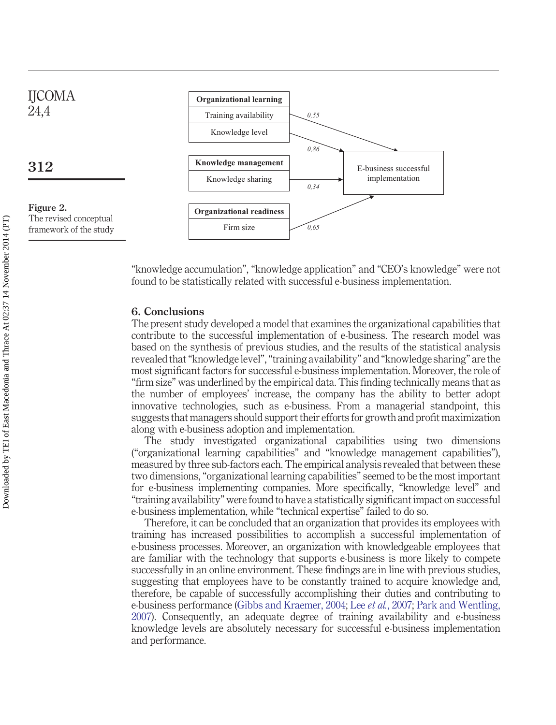<span id="page-13-0"></span>

"knowledge accumulation", "knowledge application" and "CEO's knowledge" were not found to be statistically related with successful e-business implementation.

#### **6. Conclusions**

The present study developed a model that examines the organizational capabilities that contribute to the successful implementation of e-business. The research model was based on the synthesis of previous studies, and the results of the statistical analysis revealed that "knowledge level", "training availability" and "knowledge sharing" are the most significant factors for successful e-business implementation. Moreover, the role of "firm size" was underlined by the empirical data. This finding technically means that as the number of employees' increase, the company has the ability to better adopt innovative technologies, such as e-business. From a managerial standpoint, this suggests that managers should support their efforts for growth and profit maximization along with e-business adoption and implementation.

The study investigated organizational capabilities using two dimensions ("organizational learning capabilities" and "knowledge management capabilities"), measured by three sub-factors each. The empirical analysis revealed that between these two dimensions, "organizational learning capabilities" seemed to be the most important for e-business implementing companies. More specifically, "knowledge level" and "training availability" were found to have a statistically significant impact on successful e-business implementation, while "technical expertise" failed to do so.

Therefore, it can be concluded that an organization that provides its employees with training has increased possibilities to accomplish a successful implementation of e-business processes. Moreover, an organization with knowledgeable employees that are familiar with the technology that supports e-business is more likely to compete successfully in an online environment. These findings are in line with previous studies, suggesting that employees have to be constantly trained to acquire knowledge and, therefore, be capable of successfully accomplishing their duties and contributing to e-business performance [\(Gibbs and Kraemer, 2004;](#page-17-16) Lee *et al.*[, 2007;](#page-19-3) [Park and Wentling,](#page-20-11) [2007\)](#page-20-11). Consequently, an adequate degree of training availability and e-business knowledge levels are absolutely necessary for successful e-business implementation and performance.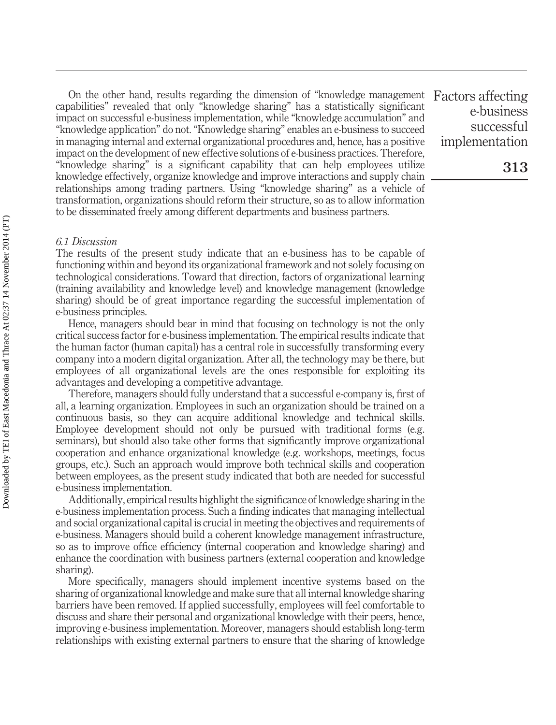On the other hand, results regarding the dimension of "knowledge management capabilities" revealed that only "knowledge sharing" has a statistically significant impact on successful e-business implementation, while "knowledge accumulation" and "knowledge application" do not. "Knowledge sharing" enables an e-business to succeed in managing internal and external organizational procedures and, hence, has a positive impact on the development of new effective solutions of e-business practices. Therefore, "knowledge sharing" is a significant capability that can help employees utilize knowledge effectively, organize knowledge and improve interactions and supply chain relationships among trading partners. Using "knowledge sharing" as a vehicle of transformation, organizations should reform their structure, so as to allow information to be disseminated freely among different departments and business partners.

## Factors affecting e-business successful implementation

#### *6.1 Discussion*

The results of the present study indicate that an e-business has to be capable of functioning within and beyond its organizational framework and not solely focusing on technological considerations. Toward that direction, factors of organizational learning (training availability and knowledge level) and knowledge management (knowledge sharing) should be of great importance regarding the successful implementation of e-business principles.

Hence, managers should bear in mind that focusing on technology is not the only critical success factor for e-business implementation. The empirical results indicate that the human factor (human capital) has a central role in successfully transforming every company into a modern digital organization. After all, the technology may be there, but employees of all organizational levels are the ones responsible for exploiting its advantages and developing a competitive advantage.

Therefore, managers should fully understand that a successful e-company is, first of all, a learning organization. Employees in such an organization should be trained on a continuous basis, so they can acquire additional knowledge and technical skills. Employee development should not only be pursued with traditional forms (e.g. seminars), but should also take other forms that significantly improve organizational cooperation and enhance organizational knowledge (e.g. workshops, meetings, focus groups, etc.). Such an approach would improve both technical skills and cooperation between employees, as the present study indicated that both are needed for successful e-business implementation.

Additionally, empirical results highlight the significance of knowledge sharing in the e-business implementation process. Such a finding indicates that managing intellectual and social organizational capital is crucial in meeting the objectives and requirements of e-business. Managers should build a coherent knowledge management infrastructure, so as to improve office efficiency (internal cooperation and knowledge sharing) and enhance the coordination with business partners (external cooperation and knowledge sharing).

More specifically, managers should implement incentive systems based on the sharing of organizational knowledge and make sure that all internal knowledge sharing barriers have been removed. If applied successfully, employees will feel comfortable to discuss and share their personal and organizational knowledge with their peers, hence, improving e-business implementation. Moreover, managers should establish long-term relationships with existing external partners to ensure that the sharing of knowledge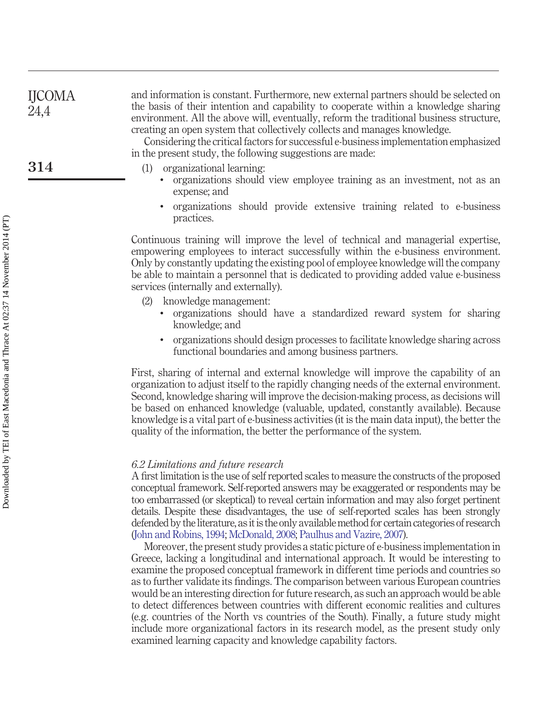| <b>IJCOMA</b><br>24,4 | and information is constant. Furthermore, new external partners should be selected on<br>the basis of their intention and capability to cooperate within a knowledge sharing<br>environment. All the above will, eventually, reform the traditional business structure,<br>creating an open system that collectively collects and manages knowledge. |
|-----------------------|------------------------------------------------------------------------------------------------------------------------------------------------------------------------------------------------------------------------------------------------------------------------------------------------------------------------------------------------------|
|                       | Considering the critical factors for successful e-business implementation emphasized                                                                                                                                                                                                                                                                 |

Considering the critical factors for successful e-business implementation emphasized in the present study, the following suggestions are made:

- (1) organizational learning:
	- organizations should view employee training as an investment, not as an expense; and
	- organizations should provide extensive training related to e-business practices.

Continuous training will improve the level of technical and managerial expertise, empowering employees to interact successfully within the e-business environment. Only by constantly updating the existing pool of employee knowledge will the company be able to maintain a personnel that is dedicated to providing added value e-business services (internally and externally).

- (2) knowledge management:
	- organizations should have a standardized reward system for sharing knowledge; and
	- organizations should design processes to facilitate knowledge sharing across functional boundaries and among business partners.

First, sharing of internal and external knowledge will improve the capability of an organization to adjust itself to the rapidly changing needs of the external environment. Second, knowledge sharing will improve the decision-making process, as decisions will be based on enhanced knowledge (valuable, updated, constantly available). Because knowledge is a vital part of e-business activities (it is the main data input), the better the quality of the information, the better the performance of the system.

#### *6.2 Limitations and future research*

A first limitation is the use of self reported scales to measure the constructs of the proposed conceptual framework. Self-reported answers may be exaggerated or respondents may be too embarrassed (or skeptical) to reveal certain information and may also forget pertinent details. Despite these disadvantages, the use of self-reported scales has been strongly defended by the literature, as it is the only available method for certain categories of research [\(John and Robins, 1994;](#page-18-17) [McDonald, 2008;](#page-19-17) [Paulhus and Vazire, 2007\)](#page-20-18).

Moreover, the present study provides a static picture of e-business implementation in Greece, lacking a longitudinal and international approach. It would be interesting to examine the proposed conceptual framework in different time periods and countries so as to further validate its findings. The comparison between various European countries would be an interesting direction for future research, as such an approach would be able to detect differences between countries with different economic realities and cultures (e.g. countries of the North vs countries of the South). Finally, a future study might include more organizational factors in its research model, as the present study only examined learning capacity and knowledge capability factors.

**314**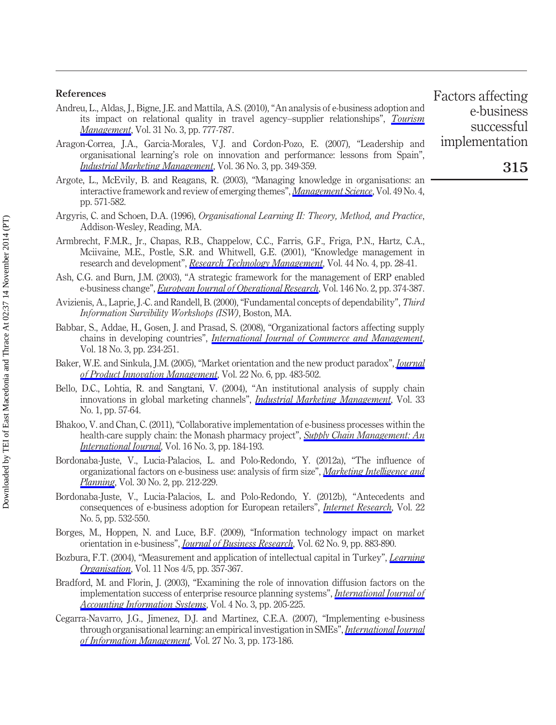#### **References**

- <span id="page-16-11"></span>Andreu, L., Aldas, J., Bigne, J.E. and Mattila, A.S. (2010), "An analysis of e-business adoption and its impact on relational quality in travel agency–supplier relationships", *[Tourism](http://www.emeraldinsight.com/action/showLinks?crossref=10.1016%2Fj.tourman.2009.08.004) [Management](http://www.emeraldinsight.com/action/showLinks?crossref=10.1016%2Fj.tourman.2009.08.004)*, Vol. 31 No. 3, pp. 777-787.
- <span id="page-16-3"></span>Aragon-Correa, J.A., Garcia-Morales, V.J. and Cordon-Pozo, E. (2007), "Leadership and organisational learning's role on innovation and performance: lessons from Spain", *[Industrial Marketing Management](http://www.emeraldinsight.com/action/showLinks?crossref=10.1016%2Fj.indmarman.2005.09.006&isi=000246046200008)*, Vol. 36 No. 3, pp. 349-359.
- <span id="page-16-16"></span>Argote, L., McEvily, B. and Reagans, R. (2003), "Managing knowledge in organisations: an interactive framework and review of emerging themes", *[Management Science](http://www.emeraldinsight.com/action/showLinks?crossref=10.1287%2Fmnsc.49.4.571.14424&isi=000182677200016)*, Vol. 49 No. 4, pp. 571-582.
- <span id="page-16-12"></span>Argyris, C. and Schoen, D.A. (1996), *Organisational Learning II: Theory, Method, and Practice*, Addison-Wesley, Reading, MA.
- <span id="page-16-15"></span>Armbrecht, F.M.R., Jr., Chapas, R.B., Chappelow, C.C., Farris, G.F., Friga, P.N., Hartz, C.A., Mciivaine, M.E., Postle, S.R. and Whitwell, G.E. (2001), "Knowledge management in research and development", *[Research Technology Management](http://www.emeraldinsight.com/action/showLinks?isi=000169630200008)*, Vol. 44 No. 4, pp. 28-41.
- <span id="page-16-1"></span>Ash, C.G. and Burn, J.M. (2003), "A strategic framework for the management of ERP enabled e-business change", *[European Journal of Operational Research](http://www.emeraldinsight.com/action/showLinks?crossref=10.1016%2FS0377-2217%2802%2900556-8&isi=000180346100012)*, Vol. 146 No. 2, pp. 374-387.
- <span id="page-16-7"></span>Avizienis, A., Laprie, J.-C. and Randell, B. (2000), "Fundamental concepts of dependability", *Third Information Survibility Workshops (ISW)*, Boston, MA.
- <span id="page-16-0"></span>Babbar, S., Addae, H., Gosen, J. and Prasad, S. (2008), "Organizational factors affecting supply chains in developing countries", *[International Journal of Commerce and Management](http://www.emeraldinsight.com/action/showLinks?system=10.1108%2F10569210810907155)*, Vol. 18 No. 3, pp. 234-251.
- <span id="page-16-6"></span>Baker, W.E. and Sinkula, J.M. (2005), "Market orientation and the new product paradox", *[Journal](http://www.emeraldinsight.com/action/showLinks?crossref=10.1111%2Fj.1540-5885.2005.00145.x&isi=000232773400003) [of Product Innovation Management](http://www.emeraldinsight.com/action/showLinks?crossref=10.1111%2Fj.1540-5885.2005.00145.x&isi=000232773400003)*, Vol. 22 No. 6, pp. 483-502.
- <span id="page-16-8"></span>Bello, D.C., Lohtia, R. and Sangtani, V. (2004), "An institutional analysis of supply chain innovations in global marketing channels", *[Industrial Marketing Management](http://www.emeraldinsight.com/action/showLinks?crossref=10.1016%2Fj.indmarman.2003.08.011&isi=000187971800009)*, Vol. 33 No. 1, pp. 57-64.
- <span id="page-16-5"></span>Bhakoo, V. and Chan, C. (2011), "Collaborative implementation of e-business processes within the health-care supply chain: the Monash pharmacy project", *[Supply Chain Management: An](http://www.emeraldinsight.com/action/showLinks?system=10.1108%2F13598541111127173&isi=000290828500004) [International Journal](http://www.emeraldinsight.com/action/showLinks?system=10.1108%2F13598541111127173&isi=000290828500004)*, Vol. 16 No. 3, pp. 184-193.
- <span id="page-16-2"></span>Bordonaba-Juste, V., Lucia-Palacios, L. and Polo-Redondo, Y. (2012a), "The influence of organizational factors on e-business use: analysis of firm size", *[Marketing Intelligence and](http://www.emeraldinsight.com/action/showLinks?system=10.1108%2F02634501211211984) [Planning](http://www.emeraldinsight.com/action/showLinks?system=10.1108%2F02634501211211984)*, Vol. 30 No. 2, pp. 212-229.
- <span id="page-16-4"></span>Bordonaba-Juste, V., Lucia-Palacios, L. and Polo-Redondo, Y. (2012b), "Antecedents and consequences of e-business adoption for European retailers", *[Internet Research](http://www.emeraldinsight.com/action/showLinks?system=10.1108%2F10662241211271536&isi=000312470700001)*, Vol. 22 No. 5, pp. 532-550.
- <span id="page-16-9"></span>Borges, M., Hoppen, N. and Luce, B.F. (2009), "Information technology impact on market orientation in e-business", *[Journal of Business Research](http://www.emeraldinsight.com/action/showLinks?crossref=10.1016%2Fj.jbusres.2008.10.010&isi=000267303500006)*, Vol. 62 No. 9, pp. 883-890.
- <span id="page-16-14"></span>Bozbura, F.T. (2004), "Measurement and application of intellectual capital in Turkey", *[Learning](http://www.emeraldinsight.com/action/showLinks?system=10.1108%2F09696470410538251) [Organisation](http://www.emeraldinsight.com/action/showLinks?system=10.1108%2F09696470410538251)*, Vol. 11 Nos 4/5, pp. 357-367.
- <span id="page-16-10"></span>Bradford, M. and Florin, J. (2003), "Examining the role of innovation diffusion factors on the implementation success of enterprise resource planning systems", *[International Journal of](http://www.emeraldinsight.com/action/showLinks?crossref=10.1016%2FS1467-0895%2803%2900026-5) [Accounting Information Systems](http://www.emeraldinsight.com/action/showLinks?crossref=10.1016%2FS1467-0895%2803%2900026-5)*, Vol. 4 No. 3, pp. 205-225.
- <span id="page-16-13"></span>Cegarra-Navarro, J.G., Jimenez, D.J. and Martinez, C.E.A. (2007), "Implementing e-business through organisational learning: an empirical investigation in SMEs", *[International Journal](http://www.emeraldinsight.com/action/showLinks?crossref=10.1016%2Fj.ijinfomgt.2007.01.001&isi=000246743300004) [of Information Management](http://www.emeraldinsight.com/action/showLinks?crossref=10.1016%2Fj.ijinfomgt.2007.01.001&isi=000246743300004)*, Vol. 27 No. 3, pp. 173-186.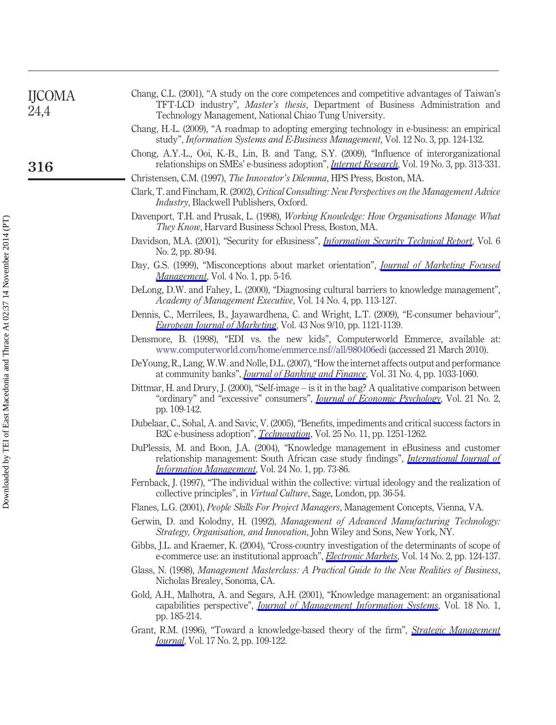<span id="page-17-18"></span><span id="page-17-17"></span><span id="page-17-13"></span><span id="page-17-12"></span><span id="page-17-11"></span><span id="page-17-10"></span><span id="page-17-9"></span><span id="page-17-7"></span><span id="page-17-4"></span><span id="page-17-3"></span>

| <b>IJCOMA</b><br>24,4 | Chang, C.L. (2001), "A study on the core competences and competitive advantages of Taiwan's<br>TFT-LCD industry", Master's thesis, Department of Business Administration and<br>Technology Management, National Chiao Tung University.    |
|-----------------------|-------------------------------------------------------------------------------------------------------------------------------------------------------------------------------------------------------------------------------------------|
|                       | Chang, H.-L. (2009), "A roadmap to adopting emerging technology in e-business: an empirical<br>study", Information Systems and E-Business Management, Vol. 12 No. 3, pp. 124-132.                                                         |
| 316                   | Chong, A.Y.-L., Ooi, K.-B., Lin, B. and Tang, S.Y. (2009), "Influence of interorganizational<br>relationships on SMEs' e-business adoption", <i>Internet Research</i> , Vol. 19 No. 3, pp. 313-331.                                       |
|                       | Christensen, C.M. (1997), The Innovator's Dilemma, HPS Press, Boston, MA.                                                                                                                                                                 |
|                       | Clark, T. and Fincham, R. (2002), Critical Consulting: New Perspectives on the Management Advice<br><i>Industry</i> , Blackwell Publishers, Oxford.                                                                                       |
|                       | Davenport, T.H. and Prusak, L. (1998), Working Knowledge: How Organisations Manage What<br>They Know, Harvard Business School Press, Boston, MA.                                                                                          |
|                       | Davidson, M.A. (2001), "Security for eBusiness", <i>Information Security Technical Report</i> , Vol. 6<br>No. 2, pp. 80-94.                                                                                                               |
|                       | Day, G.S. (1999), "Misconceptions about market orientation", <i>Journal of Marketing Focused</i><br><i>Management</i> , Vol. 4 No. 1, pp. 5-16.                                                                                           |
|                       | DeLong, D.W. and Fahey, L. (2000), "Diagnosing cultural barriers to knowledge management",<br>Academy of Management Executive, Vol. 14 No. 4, pp. 113-127.                                                                                |
|                       | Dennis, C., Merrilees, B., Jayawardhena, C. and Wright, L.T. (2009), "E-consumer behaviour",<br><b>European Journal of Marketing, Vol. 43 Nos 9/10, pp. 1121-1139.</b>                                                                    |
|                       | Densmore, B. (1998), "EDI vs. the new kids", Computerworld Emmerce, available at:<br>www.computerworld.com/home/emmerce.nsf//all/980406edi (accessed 21 March 2010).                                                                      |
|                       | DeYoung, R., Lang, W.W. and Nolle, D.L. (2007), "How the internet affects output and performance<br>at community banks", <i>Journal of Banking and Finance</i> , Vol. 31 No. 4, pp. 1033-1060.                                            |
|                       | Dittmar, H. and Drury, J. (2000), "Self-image – is it in the bag? A qualitative comparison between<br>"ordinary" and "excessive" consumers", <i>Journal of Economic Psychology</i> , Vol. 21 No. 2,<br>pp. 109-142.                       |
|                       | Dubelaar, C., Sohal, A. and Savic, V. (2005), "Benefits, impediments and critical success factors in<br>B2C e-business adoption", <i>Technovation</i> , Vol. 25 No. 11, pp. 1251-1262.                                                    |
|                       | DuPlessis, M. and Boon, J.A. (2004), "Knowledge management in eBusiness and customer<br>relationship management: South African case study findings", <i>International Journal of</i><br>Information Management, Vol. 24 No. 1, pp. 73-86. |
|                       | Fernback, J. (1997), "The individual within the collective: virtual ideology and the realization of<br>collective principles", in Virtual Culture, Sage, London, pp. 36-54.                                                               |
|                       | Flanes, L.G. (2001), People Skills For Project Managers, Management Concepts, Vienna, VA.                                                                                                                                                 |
|                       | Gerwin, D. and Kolodny, H. (1992), Management of Advanced Manufacturing Technology:<br>Strategy, Organisation, and Innovation, John Wiley and Sons, New York, NY.                                                                         |
|                       | Gibbs, J.L. and Kraemer, K. (2004), "Cross-country investigation of the determinants of scope of<br>e-commerce use: an institutional approach", Electronic Markets, Vol. 14 No. 2, pp. 124-137.                                           |

- <span id="page-17-20"></span><span id="page-17-16"></span><span id="page-17-15"></span><span id="page-17-14"></span><span id="page-17-8"></span><span id="page-17-6"></span><span id="page-17-5"></span><span id="page-17-2"></span><span id="page-17-1"></span><span id="page-17-0"></span>Glass, N. (1998), *Management Masterclass: A Practical Guide to the New Realities of Business*, Nicholas Brealey, Sonoma, CA.
- <span id="page-17-21"></span>Gold, A.H., Malhotra, A. and Segars, A.H. (2001), "Knowledge management: an organisational capabilities perspective", *[Journal of Management Information Systems](http://www.emeraldinsight.com/action/showLinks?isi=000169621900008)*, Vol. 18 No. 1, pp. 185-214.
- <span id="page-17-19"></span>Grant, R.M. (1996), "Toward a knowledge-based theory of the firm", *[Strategic Management](http://www.emeraldinsight.com/action/showLinks?crossref=10.1002%2F%28SICI%291097-0266%28199602%2917%3A2%3C109%3A%3AAID-SMJ796%3E3.0.CO%3B2-P&isi=A1996TV72700002) [Journal](http://www.emeraldinsight.com/action/showLinks?crossref=10.1002%2F%28SICI%291097-0266%28199602%2917%3A2%3C109%3A%3AAID-SMJ796%3E3.0.CO%3B2-P&isi=A1996TV72700002)*, Vol. 17 No. 2, pp. 109-122.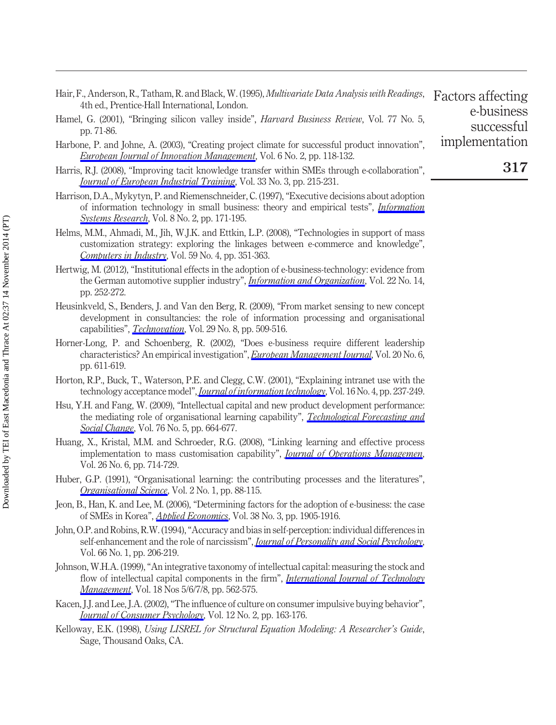|                                                                               | pp. 7          |
|-------------------------------------------------------------------------------|----------------|
|                                                                               | Harbone, F     |
|                                                                               | <b>Eur</b>     |
|                                                                               | Harris, R.J.   |
|                                                                               | <u>Jouri</u>   |
|                                                                               | Harrison, L    |
|                                                                               | of in          |
|                                                                               | <b>Syste</b>   |
|                                                                               | Helms, M.N     |
|                                                                               | cust           |
|                                                                               | Com            |
|                                                                               | Hertwig, N.    |
|                                                                               | the (<br>pp. 2 |
|                                                                               | Heusinkvel     |
|                                                                               | deve           |
|                                                                               | capa           |
|                                                                               | Horner-Lor     |
|                                                                               | char           |
| Downloaded by TEI of East Macedonia and Thrace At 02:37 14 November 2014 (PT) | pp. 6          |
|                                                                               | Horton, R.I    |
|                                                                               | tech           |
|                                                                               | Hsu, Y.H. a    |
|                                                                               | the r          |
|                                                                               | <u>Socie</u>   |
|                                                                               | Huang, X.,     |
|                                                                               | impl           |
|                                                                               | Vol.           |
|                                                                               | Huber, G.F     |
|                                                                               | <u>Orgi</u>    |
|                                                                               | Jeon, B., Ha   |

- <span id="page-18-15"></span>Hair, F., Anderson, R., Tatham, R. and Black, W. (1995), *Multivariate Data Analysis with Readings*, 4th ed., Prentice-Hall International, London. Factors affecting e-business
- <span id="page-18-7"></span>Hamel, G. (2001), "Bringing silicon valley inside", *Harvard Business Review*, Vol. 77 No. 5, pp. 71-86.
- <span id="page-18-2"></span>here, A. (2003), "Creating project climate for successful product innovation", *[European Journal of Innovation Management](http://www.emeraldinsight.com/action/showLinks?system=10.1108%2F14601060310475273)*, Vol. 6 No. 2, pp. 118-132.
- <span id="page-18-5"></span>(2008), "Improving tacit knowledge transfer within SMEs through e-collaboration", *[Journal of European Industrial Training](http://www.emeraldinsight.com/action/showLinks?system=10.1108%2F03090590910950587)*, Vol. 33 No. 3, pp. 215-231.
- <span id="page-18-14"></span>D.A., Mykytyn, P. and Riemenschneider, C. (1997), "Executive decisions about adoption of information technology in small business: theory and empirical tests", *[Information](http://www.emeraldinsight.com/action/showLinks?crossref=10.1287%2Fisre.8.2.171&isi=A1997XL88700005) [Systems Research](http://www.emeraldinsight.com/action/showLinks?crossref=10.1287%2Fisre.8.2.171&isi=A1997XL88700005)*, Vol. 8 No. 2, pp. 171-195.
- <span id="page-18-12"></span>M., Ahmadi, M., Jih, W.J.K. and Ettkin, L.P. (2008), "Technologies in support of mass customization strategy: exploring the linkages between e-commerce and knowledge", *[Computers in Industry](http://www.emeraldinsight.com/action/showLinks?crossref=10.1016%2Fj.compind.2007.09.003&isi=000254818000003)*, Vol. 59 No. 4, pp. 351-363.
- <span id="page-18-0"></span>I. (2012), "Institutional effects in the adoption of e-business-technology: evidence from the German automotive supplier industry", *[Information and Organization](http://www.emeraldinsight.com/action/showLinks?crossref=10.1016%2Fj.infoandorg.2012.06.002)*, Vol. 22 No. 14, pp. 252-272.
- <span id="page-18-4"></span>ld, S., Benders, J. and Van den Berg, R. (2009), "From market sensing to new concept elopment in consultancies: the role of information processing and organisational capabilities", *[Technovation](http://www.emeraldinsight.com/action/showLinks?crossref=10.1016%2Fj.technovation.2009.02.003&isi=000267452000001)*, Vol. 29 No. 8, pp. 509-516.
- <span id="page-18-3"></span>ng, P. and Schoenberg, R. (2002), "Does e-business require different leadership racteristics? An empirical investigation", *[European Management Journal](http://www.emeraldinsight.com/action/showLinks?crossref=10.1016%2FS0263-2373%2802%2900112-3)*, Vol. 20 No. 6, 611-619.
- <span id="page-18-13"></span>P., Buck, T., Waterson, P.E. and Clegg, C.W. (2001), "Explaining intranet use with the nology acceptance model", *[Journal of information technology](http://www.emeraldinsight.com/action/showLinks?crossref=10.1080%2F02683960110102407&isi=000173909600005)*, Vol. 16 No. 4, pp. 237-249.
- <span id="page-18-8"></span>and Fang, W. (2009), "Intellectual capital and new product development performance: the mediating role of organisational learning capability", *[Technological Forecasting and](http://www.emeraldinsight.com/action/showLinks?crossref=10.1016%2Fj.techfore.2008.03.012&isi=000266645200009) [Social Change](http://www.emeraldinsight.com/action/showLinks?crossref=10.1016%2Fj.techfore.2008.03.012&isi=000266645200009)*, Vol. 76 No. 5, pp. 664-677.
- <span id="page-18-1"></span>Kristal, M.M. and Schroeder, R.G. (2008), "Linking learning and effective process lementation to mass customisation capability", *[Journal of Operations Managemen](http://www.emeraldinsight.com/action/showLinks?crossref=10.1016%2Fj.jom.2007.11.002&isi=000260442200004)*, 26 No. 6, pp. 714-729.
- <span id="page-18-10"></span>P. (1991), "Organisational learning: the contributing processes and the literatures", *[Organisational Science](http://www.emeraldinsight.com/action/showLinks?crossref=10.1287%2Forsc.2.1.88&isi=000208105700006)*, Vol. 2 No. 1, pp. 88-115.
- <span id="page-18-9"></span>Jeon, B., Han, K. and Lee, M. (2006), "Determining factors for the adoption of e-business: the case of SMEs in Korea", *[Applied Economics](http://www.emeraldinsight.com/action/showLinks?crossref=10.1080%2F00036840500427262)*, Vol. 38 No. 3, pp. 1905-1916.
- <span id="page-18-17"></span>John, O.P. and Robins, R.W. (1994), "Accuracy and bias in self-perception: individual differences in self-enhancement and the role of narcissism", *[Journal of Personality and Social Psychology](http://www.emeraldinsight.com/action/showLinks?crossref=10.1037%2F0022-3514.66.1.206&isi=A1994MQ11000018)*, Vol. 66 No. 1, pp. 206-219.
- <span id="page-18-11"></span>Johnson, W.H.A. (1999), "An integrative taxonomy of intellectual capital: measuring the stock and flow of intellectual capital components in the firm", *[International Journal of Technology](http://www.emeraldinsight.com/action/showLinks?crossref=10.1504%2FIJTM.1999.002788&isi=000082565400011) [Management](http://www.emeraldinsight.com/action/showLinks?crossref=10.1504%2FIJTM.1999.002788&isi=000082565400011)*, Vol. 18 Nos 5/6/7/8, pp. 562-575.
- <span id="page-18-6"></span>Kacen, J.J. and Lee, J.A. (2002), "The influence of culture on consumer impulsive buying behavior", *[Journal of Consumer Psychology](http://www.emeraldinsight.com/action/showLinks?crossref=10.1207%2FS15327663JCP1202_08&isi=000176607300008)*, Vol. 12 No. 2, pp. 163-176.
- <span id="page-18-16"></span>Kelloway, E.K. (1998), *Using LISREL for Structural Equation Modeling: A Researcher's Guide*, Sage, Thousand Oaks, CA.

successful

implementation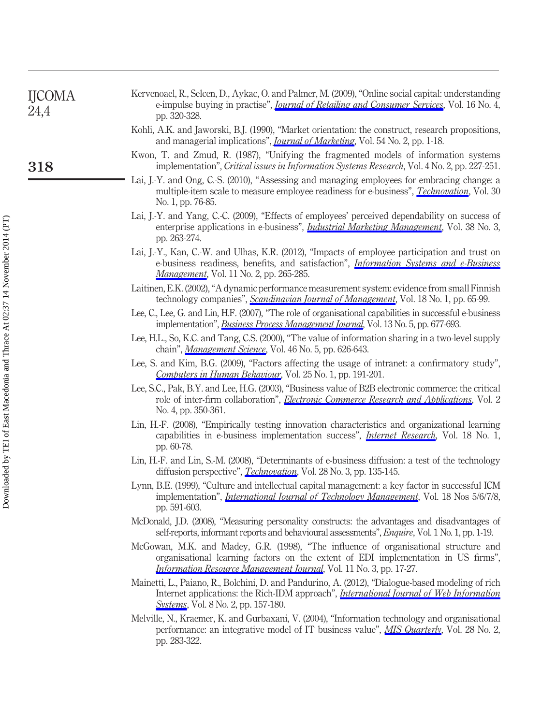<span id="page-19-15"></span><span id="page-19-10"></span><span id="page-19-6"></span><span id="page-19-5"></span><span id="page-19-4"></span><span id="page-19-1"></span>

| IJCOMA<br>24,4 | Kervenoael, R., Selcen, D., Aykac, O. and Palmer, M. (2009), "Online social capital: understanding<br>e-impulse buying in practise", <i>Journal of Retailing and Consumer Services</i> , Vol. 16 No. 4,<br>pp. 320-328.                           |
|----------------|---------------------------------------------------------------------------------------------------------------------------------------------------------------------------------------------------------------------------------------------------|
|                | Kohli, A.K. and Jaworski, B.J. (1990), "Market orientation: the construct, research propositions,<br>and managerial implications", <i>Journal of Marketing</i> , Vol. 54 No. 2, pp. 1-18.                                                         |
| 318            | Kwon, T. and Zmud, R. (1987), "Unifying the fragmented models of information systems<br>implementation", <i>Critical issues in Information Systems Research</i> , Vol. 4 No. 2, pp. 227-251.                                                      |
|                | Lai, J.-Y. and Ong, C.-S. (2010), "Assessing and managing employees for embracing change: a<br>multiple-item scale to measure employee readiness for e-business", <i>Technovation</i> , Vol. 30<br>No. 1, pp. 76-85.                              |
|                | Lai, J.-Y. and Yang, C.-C. (2009), "Effects of employees' perceived dependability on success of<br>enterprise applications in e-business", <i>Industrial Marketing Management</i> , Vol. 38 No. 3,<br>pp. 263-274.                                |
|                | Lai, J. Y., Kan, C.-W. and Ulhas, K.R. (2012), "Impacts of employee participation and trust on<br>e-business readiness, benefits, and satisfaction", <i>Information Systems and e-Business</i><br><i>Management</i> , Vol. 11 No. 2, pp. 265-285. |
|                | Laitinen, E.K. (2002), "A dynamic performance measurement system: evidence from small Finnish<br>technology companies", <i>Scandinavian Journal of Management</i> , Vol. 18 No. 1, pp. 65-99.                                                     |
|                | Lee, C., Lee, G. and Lin, H.F. (2007), "The role of organisational capabilities in successful e-business<br>implementation", <i>Business Process Management Journal</i> , Vol. 13 No. 5, pp. 677-693.                                             |
|                | Lee, H.L., So, K.C. and Tang, C.S. (2000), "The value of information sharing in a two-level supply<br>chain", <i>Management Science</i> , Vol. 46 No. 5, pp. 626-643.                                                                             |
|                | Lee, S. and Kim, B.G. (2009), "Factors affecting the usage of intranet: a confirmatory study",<br><i>Computers in Human Behaviour</i> , Vol. 25 No. 1, pp. 191-201.                                                                               |
|                | Lee, S.C., Pak, B.Y. and Lee, H.G. (2003), "Business value of B2B electronic commerce: the critical<br>role of inter-firm collaboration", <i>Electronic Commerce Research and Applications</i> , Vol. 2<br>No. 4, pp. 350-361.                    |
|                | Lin, H.-F. (2008), "Empirically testing innovation characteristics and organizational learning<br>capabilities in e-business implementation success", <i>Internet Research</i> , Vol. 18 No. 1,<br>pp. 60-78.                                     |
|                | Lin, H.-F. and Lin, S.-M. (2008), "Determinants of e-business diffusion: a test of the technology<br>diffusion perspective", <i>Technovation</i> , Vol. 28 No. 3, pp. 135-145.                                                                    |

- <span id="page-19-14"></span><span id="page-19-12"></span><span id="page-19-11"></span><span id="page-19-9"></span><span id="page-19-8"></span><span id="page-19-7"></span><span id="page-19-3"></span><span id="page-19-2"></span>Lynn, B.E. (1999), "Culture and intellectual capital management: a key factor in successful ICM implementation", *[International Journal of Technology Management](http://www.emeraldinsight.com/action/showLinks?crossref=10.1504%2FIJTM.1999.002790&isi=000082565400013)*, Vol. 18 Nos 5/6/7/8, pp. 591-603.
- <span id="page-19-17"></span>McDonald, J.D. (2008), "Measuring personality constructs: the advantages and disadvantages of self-reports, informant reports and behavioural assessments", *Enquire*, Vol. 1 No. 1, pp. 1-19.
- <span id="page-19-16"></span>McGowan, M.K. and Madey, G.R. (1998), "The influence of organisational structure and organisational learning factors on the extent of EDI implementation in US firms", *[Information Resource Management Journal](http://www.emeraldinsight.com/action/showLinks?crossref=10.4018%2Firmj.1998070102)*, Vol. 11 No. 3, pp. 17-27.
- <span id="page-19-0"></span>Mainetti, L., Paiano, R., Bolchini, D. and Pandurino, A. (2012), "Dialogue-based modeling of rich Internet applications: the Rich-IDM approach", *[International Journal of Web Information](http://www.emeraldinsight.com/action/showLinks?system=10.1108%2F17440081211241941) [Systems](http://www.emeraldinsight.com/action/showLinks?system=10.1108%2F17440081211241941)*, Vol. 8 No. 2, pp. 157-180.
- <span id="page-19-13"></span>Melville, N., Kraemer, K. and Gurbaxani, V. (2004), "Information technology and organisational performance: an integrative model of IT business value", *[MIS Quarterly](http://www.emeraldinsight.com/action/showLinks?isi=000221862100007)*, Vol. 28 No. 2, pp. 283-322.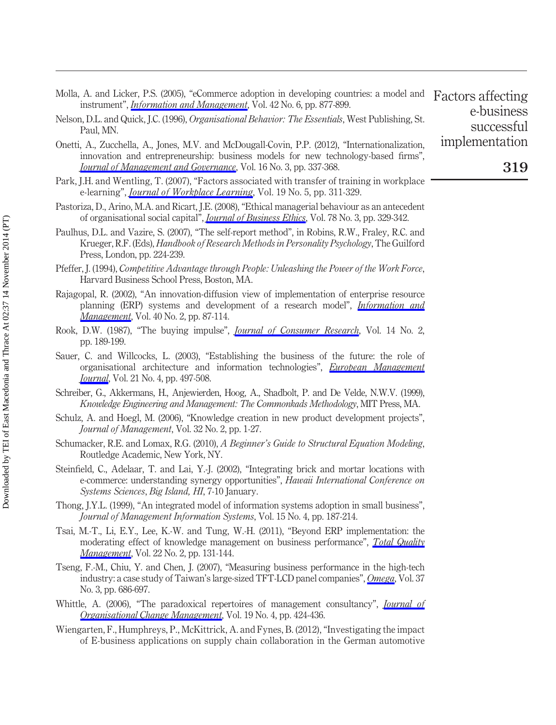<span id="page-20-18"></span><span id="page-20-14"></span><span id="page-20-11"></span><span id="page-20-9"></span><span id="page-20-5"></span><span id="page-20-4"></span><span id="page-20-2"></span>

| Molla, A. and Licker, P.S. (2005), "eCommerce adoption in developing countries: a model and<br>instrument", <i>Information and Management</i> , Vol. 42 No. 6, pp. 877-899.<br>Nelson, D.L. and Quick, J.C. (1996), <i>Organisational Behavior: The Essentials</i> , West Publishing, St.<br>Paul, MN. | <b>Factors affecting</b><br>e-business<br>successful |  |
|--------------------------------------------------------------------------------------------------------------------------------------------------------------------------------------------------------------------------------------------------------------------------------------------------------|------------------------------------------------------|--|
| Onetti, A., Zucchella, A., Jones, M.V. and McDougall-Covin, P.P. (2012), "Internationalization,<br>innovation and entrepreneurship: business models for new technology-based firms",<br>Journal of Management and Governance, Vol. 16 No. 3, pp. 337-368.                                              | implementation<br>319                                |  |
| Park, J.H. and Wentling, T. (2007), "Factors associated with transfer of training in workplace<br>e-learning", <i>Journal of Workplace Learning</i> , Vol. 19 No. 5, pp. 311-329.                                                                                                                      |                                                      |  |
| Pastoriza, D., Arino, M.A. and Ricart, J.E. (2008), "Ethical managerial behaviour as an antecedent<br>of organisational social capital", <i>Journal of Business Ethics</i> , Vol. 78 No. 3, pp. 329-342.                                                                                               |                                                      |  |
| Paulhus, D.L. and Vazire, S. (2007), "The self-report method", in Robins, R.W., Fraley, R.C. and<br>Krueger, R.F. (Eds), <i>Handbook of Research Methods in Personality Psychology</i> , The Guilford<br>Press, London, pp. 224-239.                                                                   |                                                      |  |
| Pfeffer, J. (1994), Competitive Advantage through People: Unleashing the Power of the Work Force,<br>Harvard Business School Press, Boston, MA.                                                                                                                                                        |                                                      |  |
| Rajagopal, R. (2002), "An innovation-diffusion view of implementation of enterprise resource<br>planning (ERP) systems and development of a research model", <i>Information and</i><br><i>Management</i> , Vol. 40 No. 2, pp. 87-114.                                                                  |                                                      |  |
| Rook, D.W. (1987), "The buying impulse", <i>Journal of Consumer Research</i> , Vol. 14 No. 2,<br>pp. 189-199.                                                                                                                                                                                          |                                                      |  |
| Sauer, C. and Willcocks, L. (2003), "Establishing the business of the future: the role of<br>organisational architecture and information technologies", <i>European Management</i><br><i>Journal</i> , Vol. 21 No. 4, pp. 497-508.                                                                     |                                                      |  |
| Schreiber, G., Akkermans, H., Anjewierden, Hoog, A., Shadbolt, P. and De Velde, N.W.V. (1999),<br>Knowledge Engineering and Management: The Commonkads Methodology, MIT Press, MA.                                                                                                                     |                                                      |  |
| Schulz, A. and Hoegl, M. (2006), "Knowledge creation in new product development projects",<br><i>Journal of Management, Vol. 32 No. 2, pp. 1-27.</i>                                                                                                                                                   |                                                      |  |
| Schumacker, R.E. and Lomax, R.G. (2010), A Beginner's Guide to Structural Equation Modeling,<br>Routledge Academic, New York, NY.                                                                                                                                                                      |                                                      |  |

- <span id="page-20-17"></span><span id="page-20-15"></span><span id="page-20-13"></span><span id="page-20-12"></span><span id="page-20-10"></span><span id="page-20-6"></span><span id="page-20-0"></span>Steinfield, C., Adelaar, T. and Lai, Y.-J. (2002), "Integrating brick and mortar locations with e-commerce: understanding synergy opportunities", *Hawaii International Conference on Systems Sciences*, *Big Island, HI*, 7-10 January.
- <span id="page-20-16"></span>Thong, J.Y.L. (1999), "An integrated model of information systems adoption in small business", *Journal of Management Information Systems*, Vol. 15 No. 4, pp. 187-214.
- <span id="page-20-8"></span>Tsai, M.-T., Li, E.Y., Lee, K.-W. and Tung, W.-H. (2011), "Beyond ERP implementation: the moderating effect of knowledge management on business performance", *[Total Quality](http://www.emeraldinsight.com/action/showLinks?crossref=10.1080%2F14783363.2010.529638) [Management](http://www.emeraldinsight.com/action/showLinks?crossref=10.1080%2F14783363.2010.529638)*, Vol. 22 No. 2, pp. 131-144.
- <span id="page-20-7"></span>Tseng, F.-M., Chiu, Y. and Chen, J. (2007), "Measuring business performance in the high-tech industry: a case study of Taiwan's large-sized TFT-LCD panel companies", *[Omega](http://www.emeraldinsight.com/action/showLinks?crossref=10.1016%2Fj.omega.2007.07.004&isi=000259851900018)*, Vol. 37 No. 3, pp. 686-697.
- <span id="page-20-1"></span>Whittle, A. (2006), "The paradoxical repertoires of management consultancy", *[Journal of](http://www.emeraldinsight.com/action/showLinks?system=10.1108%2F09534810610676635&isi=000240247700002) [Organisational Change Management](http://www.emeraldinsight.com/action/showLinks?system=10.1108%2F09534810610676635&isi=000240247700002)*, Vol. 19 No. 4, pp. 424-436.
- <span id="page-20-3"></span>Wiengarten, F., Humphreys, P., McKittrick, A. and Fynes, B. (2012), "Investigating the impact of E-business applications on supply chain collaboration in the German automotive